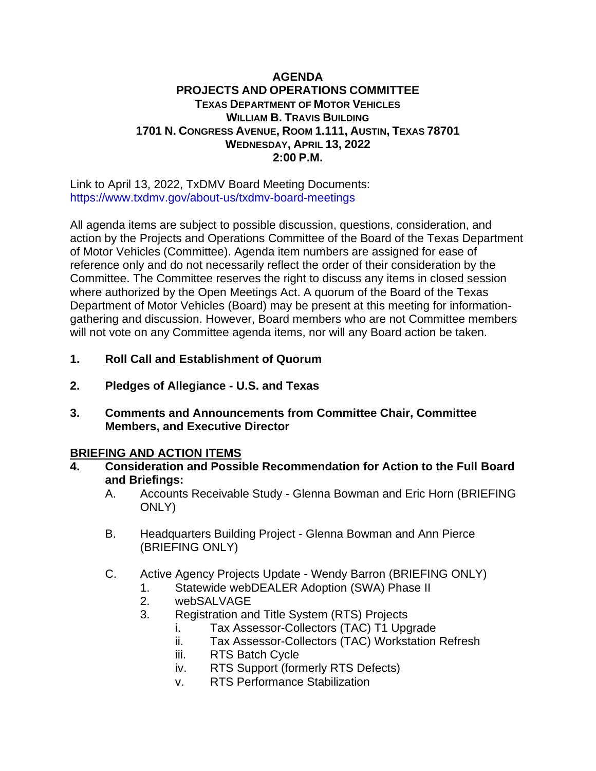#### **AGENDA PROJECTS AND OPERATIONS COMMITTEE TEXAS DEPARTMENT OF MOTOR VEHICLES WILLIAM B. TRAVIS BUILDING 1701 N. CONGRESS AVENUE, ROOM 1.111, AUSTIN, TEXAS 78701 WEDNESDAY, APRIL 13, 2022 2:00 P.M.**

Link to April 13, 2022, TxDMV Board Meeting Documents: <https://www.txdmv.gov/about-us/txdmv-board-meetings>

All agenda items are subject to possible discussion, questions, consideration, and action by the Projects and Operations Committee of the Board of the Texas Department of Motor Vehicles (Committee). Agenda item numbers are assigned for ease of reference only and do not necessarily reflect the order of their consideration by the Committee. The Committee reserves the right to discuss any items in closed session where authorized by the Open Meetings Act. A quorum of the Board of the Texas Department of Motor Vehicles (Board) may be present at this meeting for informationgathering and discussion. However, Board members who are not Committee members will not vote on any Committee agenda items, nor will any Board action be taken.

- **1. Roll Call and Establishment of Quorum**
- **2. Pledges of Allegiance - U.S. and Texas**
- **3. Comments and Announcements from Committee Chair, Committee Members, and Executive Director**

# **BRIEFING AND ACTION ITEMS**

- **4. Consideration and Possible Recommendation for Action to the Full Board and Briefings:**
	- A. Accounts Receivable Study Glenna Bowman and Eric Horn (BRIEFING ONLY)
	- B. Headquarters Building Project Glenna Bowman and Ann Pierce (BRIEFING ONLY)
	- C. Active Agency Projects Update Wendy Barron (BRIEFING ONLY)
		- 1. Statewide webDEALER Adoption (SWA) Phase II
		- 2. webSALVAGE
		- 3. Registration and Title System (RTS) Projects
			- i. Tax Assessor-Collectors (TAC) T1 Upgrade
			- ii. Tax Assessor-Collectors (TAC) Workstation Refresh
			- iii. RTS Batch Cycle
			- iv. RTS Support (formerly RTS Defects)
			- v. RTS Performance Stabilization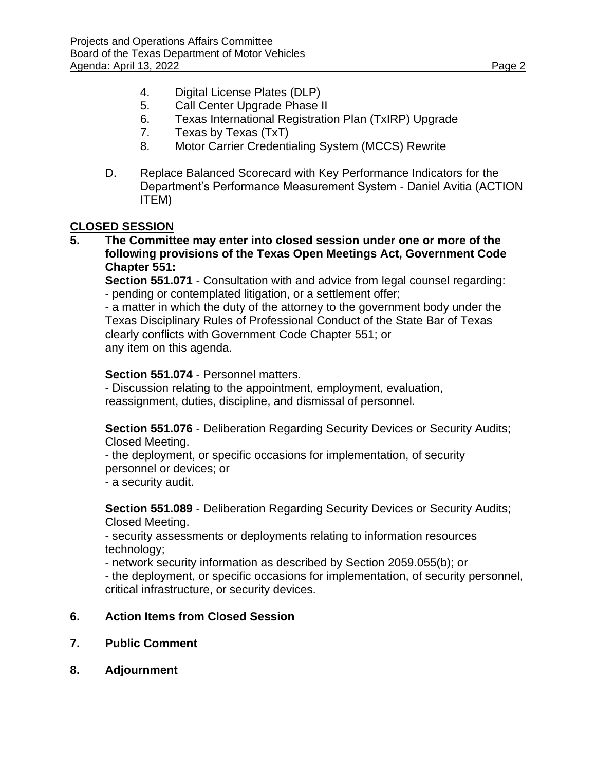- 4. Digital License Plates (DLP)
- 5. Call Center Upgrade Phase II
- 6. Texas International Registration Plan (TxIRP) Upgrade
- 7. Texas by Texas (TxT)
- 8. Motor Carrier Credentialing System (MCCS) Rewrite
- D. Replace Balanced Scorecard with Key Performance Indicators for the Department's Performance Measurement System - Daniel Avitia (ACTION ITEM)

## **CLOSED SESSION**

**5. The Committee may enter into closed session under one or more of the following provisions of the Texas Open Meetings Act, Government Code Chapter 551:**

**Section 551.071** - Consultation with and advice from legal counsel regarding: - pending or contemplated litigation, or a settlement offer;

- a matter in which the duty of the attorney to the government body under the Texas Disciplinary Rules of Professional Conduct of the State Bar of Texas clearly conflicts with Government Code Chapter 551; or any item on this agenda.

#### **Section 551.074** - Personnel matters.

- Discussion relating to the appointment, employment, evaluation, reassignment, duties, discipline, and dismissal of personnel.

**Section 551.076** - Deliberation Regarding Security Devices or Security Audits; Closed Meeting.

- the deployment, or specific occasions for implementation, of security personnel or devices; or

- a security audit.

**Section 551.089** - Deliberation Regarding Security Devices or Security Audits; Closed Meeting.

- security assessments or deployments relating to information resources technology;

- network security information as described by Section 2059.055(b); or

- the deployment, or specific occasions for implementation, of security personnel, critical infrastructure, or security devices.

### **6. Action Items from Closed Session**

- **7. Public Comment**
- **8. Adjournment**